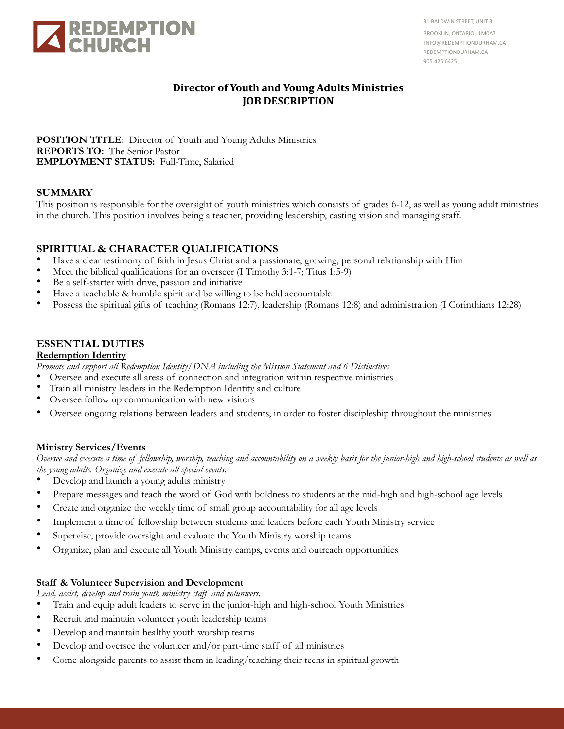

31 BALDWIN STREET, UNIT 3, BROOKLIN, ONTARIO L1M0A7 INFO@REDEMPTIONDURHAM.CA REDEMPTIONDURHAM.CA 905.425.6425

# **Director of Youth and Young Adults Ministries JOB DESCRIPTION**

**POSITION TITLE:** Director of Youth and Young Adults Ministries **REPORTS TO:** The Senior Pastor **EMPLOYMENT STATUS:** Full-Time, Salaried

## **SUMMARY**

This position is responsible for the oversight of youth ministries which consists of grades 6-12, as well as young adult ministries in the church. This position involves being a teacher, providing leadership, casting vision and managing staff.

## **SPIRITUAL & CHARACTER QUALIFICATIONS**

- Have a clear testimony of faith in Jesus Christ and a passionate, growing, personal relationship with Him
- Meet the biblical qualifications for an overseer (I Timothy 3:1-7; Titus 1:5-9)
- Be a self-starter with drive, passion and initiative
- Have a teachable & humble spirit and be willing to be held accountable
- Possess the spiritual gifts of teaching (Romans 12:7), leadership (Romans 12:8) and administration (I Corinthians 12:28)

# **ESSENTIAL DUTIES**

#### **Redemption Identity**

*Promote and support all Redemption Identity/DNA including the Mission Statement and 6 Distinctives*

- Oversee and execute all areas of connection and integration within respective ministries
- Train all ministry leaders in the Redemption Identity and culture
- Oversee follow up communication with new visitors
- Oversee ongoing relations between leaders and students, in order to foster discipleship throughout the ministries

#### **Ministry Services/Events**

*Oversee and execute a time of fellowship, worship, teaching and accountability on a weekly basis for the junior-high and high-school students as well as the young adults. Organize and execute all special events.*

- Develop and launch a young adults ministry
- Prepare messages and teach the word of God with boldness to students at the mid-high and high-school age levels
- Create and organize the weekly time of small group accountability for all age levels
- Implement a time of fellowship between students and leaders before each Youth Ministry service
- Supervise, provide oversight and evaluate the Youth Ministry worship teams
- Organize, plan and execute all Youth Ministry camps, events and outreach opportunities

#### **Staff & Volunteer Supervision and Development**

*Lead, assist, develop and train youth ministry staff and volunteers.*

- Train and equip adult leaders to serve in the junior-high and high-school Youth Ministries
- Recruit and maintain volunteer youth leadership teams
- Develop and maintain healthy youth worship teams
- Develop and oversee the volunteer and/or part-time staff of all ministries
- Come alongside parents to assist them in leading/teaching their teens in spiritual growth